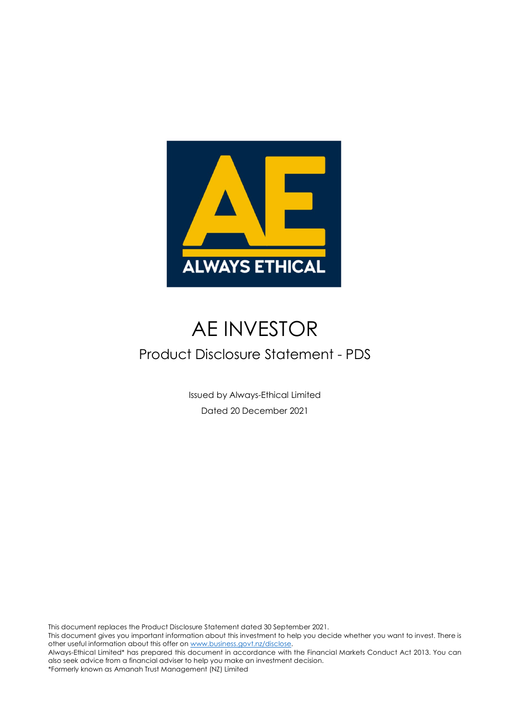

## AE INVESTOR

### Product Disclosure Statement - PDS

Issued by Always-Ethical Limited Dated 20 December 2021

This document replaces the Product Disclosure Statement dated 30 September 2021.

This document gives you important information about this investment to help you decide whether you want to invest. There is other useful information about this offer o[n www.business.govt.nz/disclose.](http://www.business.govt.nz/disclose) 

Always-Ethical Limited\* has prepared this document in accordance with the Financial Markets Conduct Act 2013. You can also seek advice from a financial adviser to help you make an investment decision.

 $\mathcal{L}$  is the product Disclosure  $\mathcal{L}$  December 2021 Page  $\mathcal{L}$ \*Formerly known as Amanah Trust Management (NZ) Limited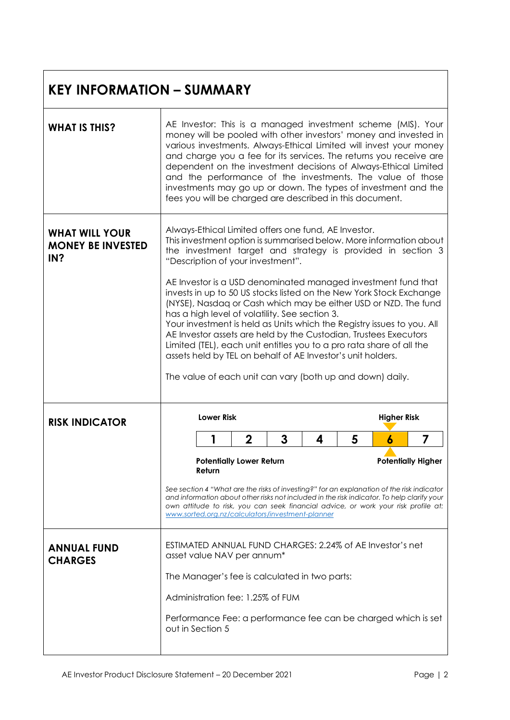#### **KEY INFORMATION – SUMMARY**

| <b>WHAT IS THIS?</b>                                     | AE Investor: This is a managed investment scheme (MIS). Your<br>money will be pooled with other investors' money and invested in<br>various investments. Always-Ethical Limited will invest your money<br>and charge you a fee for its services. The returns you receive are<br>dependent on the investment decisions of Always-Ethical Limited<br>and the performance of the investments. The value of those<br>investments may go up or down. The types of investment and the<br>fees you will be charged are described in this document. |                   |                                                                                                                                                                                                                                                                                                                                                                                                                                  |   |   |   |                                                           |                                                                                                                                                                                                                                                                                                                                              |
|----------------------------------------------------------|---------------------------------------------------------------------------------------------------------------------------------------------------------------------------------------------------------------------------------------------------------------------------------------------------------------------------------------------------------------------------------------------------------------------------------------------------------------------------------------------------------------------------------------------|-------------------|----------------------------------------------------------------------------------------------------------------------------------------------------------------------------------------------------------------------------------------------------------------------------------------------------------------------------------------------------------------------------------------------------------------------------------|---|---|---|-----------------------------------------------------------|----------------------------------------------------------------------------------------------------------------------------------------------------------------------------------------------------------------------------------------------------------------------------------------------------------------------------------------------|
| <b>WHAT WILL YOUR</b><br><b>MONEY BE INVESTED</b><br>IN? |                                                                                                                                                                                                                                                                                                                                                                                                                                                                                                                                             |                   | Always-Ethical Limited offers one fund, AE Investor.<br>"Description of your investment".<br>has a high level of volatility. See section 3.<br>Your investment is held as Units which the Registry issues to you. All<br>AE Investor assets are held by the Custodian, Trustees Executors<br>Limited (TEL), each unit entitles you to a pro rata share of all the<br>assets held by TEL on behalf of AE Investor's unit holders. |   |   |   |                                                           | This investment option is summarised below. More information about<br>the investment target and strategy is provided in section 3<br>AE Investor is a USD denominated managed investment fund that<br>invests in up to 50 US stocks listed on the New York Stock Exchange<br>(NYSE), Nasdaq or Cash which may be either USD or NZD. The fund |
|                                                          |                                                                                                                                                                                                                                                                                                                                                                                                                                                                                                                                             |                   |                                                                                                                                                                                                                                                                                                                                                                                                                                  |   |   |   | The value of each unit can vary (both up and down) daily. |                                                                                                                                                                                                                                                                                                                                              |
| <b>RISK INDICATOR</b>                                    |                                                                                                                                                                                                                                                                                                                                                                                                                                                                                                                                             | <b>Lower Risk</b> |                                                                                                                                                                                                                                                                                                                                                                                                                                  |   |   |   | <b>Higher Risk</b>                                        |                                                                                                                                                                                                                                                                                                                                              |
|                                                          |                                                                                                                                                                                                                                                                                                                                                                                                                                                                                                                                             |                   |                                                                                                                                                                                                                                                                                                                                                                                                                                  | 3 | 4 | 5 | 6                                                         | 7                                                                                                                                                                                                                                                                                                                                            |
|                                                          |                                                                                                                                                                                                                                                                                                                                                                                                                                                                                                                                             | Return            | $\mathbf 2$<br><b>Potentially Lower Return</b>                                                                                                                                                                                                                                                                                                                                                                                   |   |   |   |                                                           | <b>Potentially Higher</b>                                                                                                                                                                                                                                                                                                                    |
|                                                          |                                                                                                                                                                                                                                                                                                                                                                                                                                                                                                                                             |                   | www.sorted.org.nz/calculators/investment-planner                                                                                                                                                                                                                                                                                                                                                                                 |   |   |   |                                                           | See section 4 "What are the risks of investing?" for an explanation of the risk indicator<br>and information about other risks not included in the risk indicator. To help clarify your<br>own attitude to risk, you can seek financial advice, or work your risk profile at:                                                                |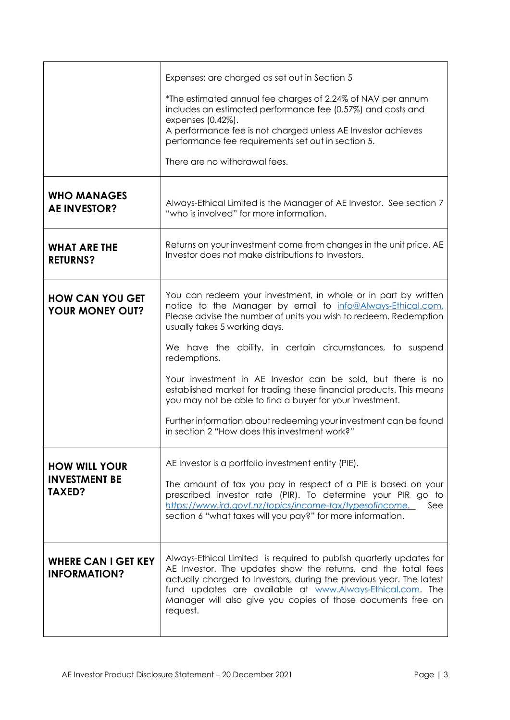|                                                   | Expenses: are charged as set out in Section 5                                                                                                                                                                                                                                                                                                        |
|---------------------------------------------------|------------------------------------------------------------------------------------------------------------------------------------------------------------------------------------------------------------------------------------------------------------------------------------------------------------------------------------------------------|
|                                                   | *The estimated annual fee charges of 2.24% of NAV per annum<br>includes an estimated performance fee (0.57%) and costs and<br>expenses (0.42%).<br>A performance fee is not charged unless AE Investor achieves                                                                                                                                      |
|                                                   | performance fee requirements set out in section 5.                                                                                                                                                                                                                                                                                                   |
|                                                   | There are no withdrawal fees.                                                                                                                                                                                                                                                                                                                        |
| <b>WHO MANAGES</b><br><b>AE INVESTOR?</b>         | Always-Ethical Limited is the Manager of AE Investor. See section 7<br>"who is involved" for more information.                                                                                                                                                                                                                                       |
| <b>WHAT ARE THE</b><br><b>RETURNS?</b>            | Returns on your investment come from changes in the unit price. AE<br>Investor does not make distributions to Investors.                                                                                                                                                                                                                             |
| <b>HOW CAN YOU GET</b><br><b>YOUR MONEY OUT?</b>  | You can redeem your investment, in whole or in part by written<br>notice to the Manager by email to info@Always-Ethical.com.<br>Please advise the number of units you wish to redeem. Redemption<br>usually takes 5 working days.                                                                                                                    |
|                                                   | We have the ability, in certain circumstances, to suspend<br>redemptions.                                                                                                                                                                                                                                                                            |
|                                                   | Your investment in AE Investor can be sold, but there is no<br>established market for trading these financial products. This means<br>you may not be able to find a buyer for your investment.                                                                                                                                                       |
|                                                   | Further information about redeeming your investment can be found<br>in section 2 "How does this investment work?"                                                                                                                                                                                                                                    |
| <b>HOW WILL YOUR</b>                              | AE Investor is a portfolio investment entity (PIE).                                                                                                                                                                                                                                                                                                  |
| <b>INVESTMENT BE</b><br><b>TAXED?</b>             | The amount of tax you pay in respect of a PIE is based on your<br>prescribed investor rate (PIR). To determine your PIR go to<br>https://www.ird.govt.nz/topics/income-tax/typesofincome.<br>See<br>section 6 "what taxes will you pay?" for more information.                                                                                       |
| <b>WHERE CAN I GET KEY</b><br><b>INFORMATION?</b> | Always-Ethical Limited is required to publish quarterly updates for<br>AE Investor. The updates show the returns, and the total fees<br>actually charged to Investors, during the previous year. The latest<br>fund updates are available at www.Always-Ethical.com. The<br>Manager will also give you copies of those documents free on<br>request. |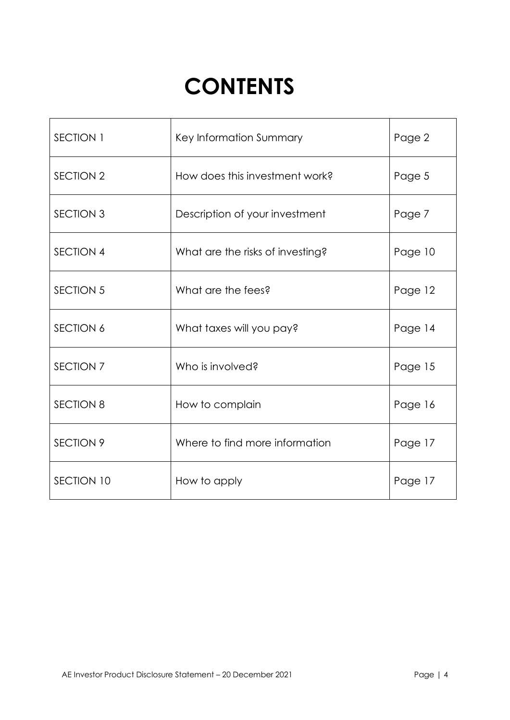# **CONTENTS**

| SECTION 1        | Key Information Summary          | Page 2  |
|------------------|----------------------------------|---------|
| <b>SECTION 2</b> | How does this investment work?   | Page 5  |
| <b>SECTION 3</b> | Description of your investment   | Page 7  |
| <b>SECTION 4</b> | What are the risks of investing? | Page 10 |
| <b>SECTION 5</b> | What are the fees?               | Page 12 |
| <b>SECTION 6</b> | What taxes will you pay?         | Page 14 |
| SECTION 7        | Who is involved?                 | Page 15 |
| <b>SECTION 8</b> | How to complain                  | Page 16 |
| <b>SECTION 9</b> | Where to find more information   | Page 17 |
| SECTION 10       | How to apply                     | Page 17 |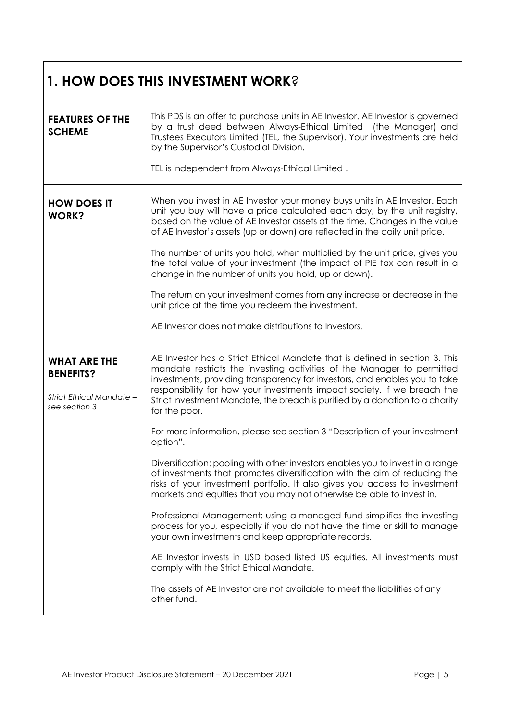|                                                                                      | <b>1. HOW DOES THIS INVESTMENT WORK?</b>                                                                                                                                                                                                                                                                                                                                                                         |
|--------------------------------------------------------------------------------------|------------------------------------------------------------------------------------------------------------------------------------------------------------------------------------------------------------------------------------------------------------------------------------------------------------------------------------------------------------------------------------------------------------------|
| <b>FEATURES OF THE</b><br><b>SCHEME</b>                                              | This PDS is an offer to purchase units in AE Investor. AE Investor is governed<br>by a trust deed between Always-Ethical Limited (the Manager) and<br>Trustees Executors Limited (TEL, the Supervisor). Your investments are held<br>by the Supervisor's Custodial Division.                                                                                                                                     |
|                                                                                      | TEL is independent from Always-Ethical Limited.                                                                                                                                                                                                                                                                                                                                                                  |
| <b>HOW DOES IT</b><br><b>WORK?</b>                                                   | When you invest in AE Investor your money buys units in AE Investor. Each<br>unit you buy will have a price calculated each day, by the unit registry,<br>based on the value of AE Investor assets at the time. Changes in the value<br>of AE Investor's assets (up or down) are reflected in the daily unit price.                                                                                              |
|                                                                                      | The number of units you hold, when multiplied by the unit price, gives you<br>the total value of your investment (the impact of PIE tax can result in a<br>change in the number of units you hold, up or down).                                                                                                                                                                                                  |
|                                                                                      | The return on your investment comes from any increase or decrease in the<br>unit price at the time you redeem the investment.                                                                                                                                                                                                                                                                                    |
|                                                                                      | AE Investor does not make distributions to Investors.                                                                                                                                                                                                                                                                                                                                                            |
| <b>WHAT ARE THE</b><br><b>BENEFITS?</b><br>Strict Ethical Mandate -<br>see section 3 | AE Investor has a Strict Ethical Mandate that is defined in section 3. This<br>mandate restricts the investing activities of the Manager to permitted<br>investments, providing transparency for investors, and enables you to take<br>responsibility for how your investments impact society. If we breach the<br>Strict Investment Mandate, the breach is purified by a donation to a charity<br>for the poor. |
|                                                                                      | For more information, please see section 3 "Description of your investment<br>option".                                                                                                                                                                                                                                                                                                                           |
|                                                                                      | Diversification: pooling with other investors enables you to invest in a range<br>of investments that promotes diversification with the aim of reducing the<br>risks of your investment portfolio. It also gives you access to investment<br>markets and equities that you may not otherwise be able to invest in.                                                                                               |
|                                                                                      | Professional Management: using a managed fund simplifies the investing<br>process for you, especially if you do not have the time or skill to manage<br>your own investments and keep appropriate records.                                                                                                                                                                                                       |
|                                                                                      | AE Investor invests in USD based listed US equities. All investments must<br>comply with the Strict Ethical Mandate.                                                                                                                                                                                                                                                                                             |
|                                                                                      | The assets of AE Investor are not available to meet the liabilities of any<br>other fund.                                                                                                                                                                                                                                                                                                                        |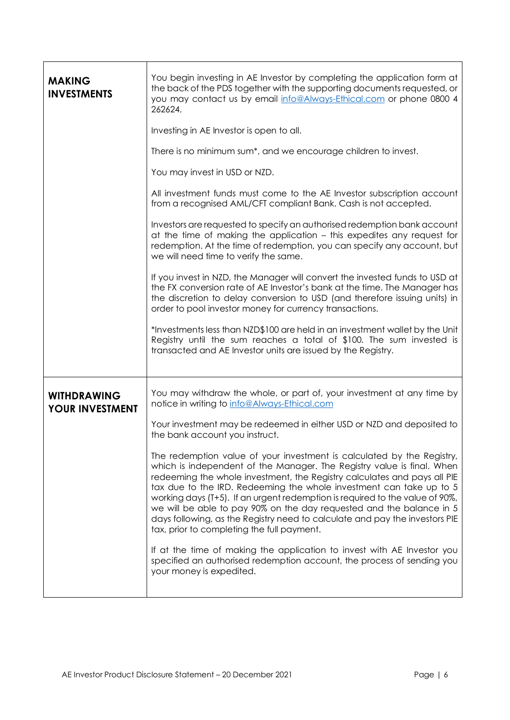| <b>MAKING</b><br><b>INVESTMENTS</b>          | You begin investing in AE Investor by completing the application form at<br>the back of the PDS together with the supporting documents requested, or<br>you may contact us by email info@Always-Ethical.com or phone 0800 4<br>262624.                                                                                                                                                                                                                                                                                                                                                   |
|----------------------------------------------|------------------------------------------------------------------------------------------------------------------------------------------------------------------------------------------------------------------------------------------------------------------------------------------------------------------------------------------------------------------------------------------------------------------------------------------------------------------------------------------------------------------------------------------------------------------------------------------|
|                                              | Investing in AE Investor is open to all.                                                                                                                                                                                                                                                                                                                                                                                                                                                                                                                                                 |
|                                              | There is no minimum sum*, and we encourage children to invest.                                                                                                                                                                                                                                                                                                                                                                                                                                                                                                                           |
|                                              | You may invest in USD or NZD.                                                                                                                                                                                                                                                                                                                                                                                                                                                                                                                                                            |
|                                              | All investment funds must come to the AE Investor subscription account<br>from a recognised AML/CFT compliant Bank. Cash is not accepted.                                                                                                                                                                                                                                                                                                                                                                                                                                                |
|                                              | Investors are requested to specify an authorised redemption bank account<br>at the time of making the application - this expedites any request for<br>redemption. At the time of redemption, you can specify any account, but<br>we will need time to verify the same.                                                                                                                                                                                                                                                                                                                   |
|                                              | If you invest in NZD, the Manager will convert the invested funds to USD at<br>the FX conversion rate of AE Investor's bank at the time. The Manager has<br>the discretion to delay conversion to USD (and therefore issuing units) in<br>order to pool investor money for currency transactions.                                                                                                                                                                                                                                                                                        |
|                                              | *Investments less than NZD\$100 are held in an investment wallet by the Unit<br>Registry until the sum reaches a total of \$100. The sum invested is<br>transacted and AE Investor units are issued by the Registry.                                                                                                                                                                                                                                                                                                                                                                     |
| <b>WITHDRAWING</b><br><b>YOUR INVESTMENT</b> | You may withdraw the whole, or part of, your investment at any time by<br>notice in writing to info@Always-Ethical.com                                                                                                                                                                                                                                                                                                                                                                                                                                                                   |
|                                              | Your investment may be redeemed in either USD or NZD and deposited to<br>the bank account you instruct.                                                                                                                                                                                                                                                                                                                                                                                                                                                                                  |
|                                              | The redemption value of your investment is calculated by the Registry,<br>which is independent of the Manager. The Registry value is final. When<br>redeeming the whole investment, the Registry calculates and pays all PIE<br>tax due to the IRD. Redeeming the whole investment can take up to 5<br>working days (T+5). If an urgent redemption is required to the value of 90%,<br>we will be able to pay 90% on the day requested and the balance in 5<br>days following, as the Registry need to calculate and pay the investors PIE<br>tax, prior to completing the full payment. |
|                                              | If at the time of making the application to invest with AE Investor you<br>specified an authorised redemption account, the process of sending you<br>your money is expedited.                                                                                                                                                                                                                                                                                                                                                                                                            |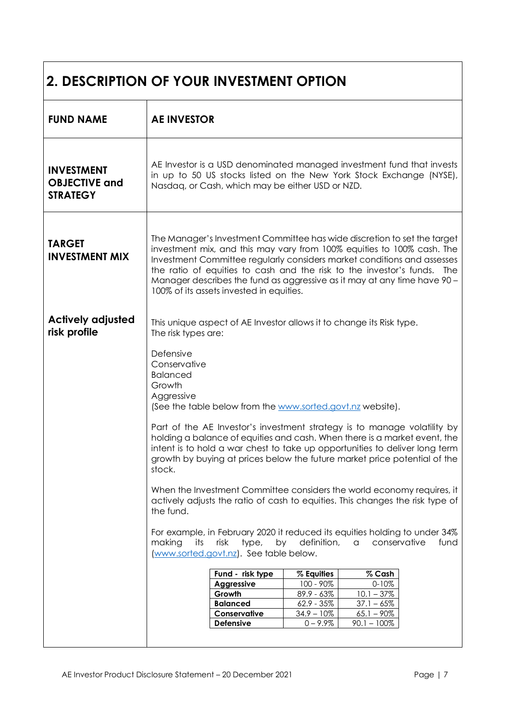| <b>2. DESCRIPTION OF YOUR INVESTMENT OPTION</b>              |                                                                                                                                                                                                                                                                                                                                                                                                                                                                                                                                                                                                                                                                                                                                                                                                                                                                                                                                                                                                                                                                                                                                                                                                                                                  |  |  |  |
|--------------------------------------------------------------|--------------------------------------------------------------------------------------------------------------------------------------------------------------------------------------------------------------------------------------------------------------------------------------------------------------------------------------------------------------------------------------------------------------------------------------------------------------------------------------------------------------------------------------------------------------------------------------------------------------------------------------------------------------------------------------------------------------------------------------------------------------------------------------------------------------------------------------------------------------------------------------------------------------------------------------------------------------------------------------------------------------------------------------------------------------------------------------------------------------------------------------------------------------------------------------------------------------------------------------------------|--|--|--|
| <b>FUND NAME</b>                                             | <b>AE INVESTOR</b>                                                                                                                                                                                                                                                                                                                                                                                                                                                                                                                                                                                                                                                                                                                                                                                                                                                                                                                                                                                                                                                                                                                                                                                                                               |  |  |  |
| <b>INVESTMENT</b><br><b>OBJECTIVE and</b><br><b>STRATEGY</b> | AE Investor is a USD denominated managed investment fund that invests<br>in up to 50 US stocks listed on the New York Stock Exchange (NYSE),<br>Nasdaq, or Cash, which may be either USD or NZD.                                                                                                                                                                                                                                                                                                                                                                                                                                                                                                                                                                                                                                                                                                                                                                                                                                                                                                                                                                                                                                                 |  |  |  |
| <b>TARGET</b><br><b>INVESTMENT MIX</b>                       | The Manager's Investment Committee has wide discretion to set the target<br>investment mix, and this may vary from 100% equities to 100% cash. The<br>Investment Committee regularly considers market conditions and assesses<br>the ratio of equities to cash and the risk to the investor's funds. The<br>Manager describes the fund as aggressive as it may at any time have 90 -<br>100% of its assets invested in equities.                                                                                                                                                                                                                                                                                                                                                                                                                                                                                                                                                                                                                                                                                                                                                                                                                 |  |  |  |
| <b>Actively adjusted</b><br>risk profile                     | This unique aspect of AE Investor allows it to change its Risk type.<br>The risk types are:<br>Defensive<br>Conservative<br><b>Balanced</b><br>Growth<br>Aggressive<br>(See the table below from the www.sorted.govt.nz website).<br>Part of the AE Investor's investment strategy is to manage volatility by<br>holding a balance of equities and cash. When there is a market event, the<br>intent is to hold a war chest to take up opportunities to deliver long term<br>growth by buying at prices below the future market price potential of the<br>stock.<br>When the Investment Committee considers the world economy requires, it<br>actively adjusts the ratio of cash to equities. This changes the risk type of<br>the fund.<br>For example, in February 2020 it reduced its equities holding to under 34%<br>making<br>its<br>risk<br>type,<br>by<br>definition,<br>conservative<br>$\alpha$<br>fund<br>www.sorted.govt.nz). See table below.<br>Fund - risk type<br>$%$ Cash<br>% Equities<br>100 - 90%<br>$0 - 10%$<br>Aggressive<br>Growth<br>$89.9 - 63\%$<br>$10.1 - 37\%$<br><b>Balanced</b><br>$62.9 - 35\%$<br>$37.1 - 65%$<br>Conservative<br>$34.9 - 10\%$<br>$65.1 - 90\%$<br>Defensive<br>$0 - 9.9\%$<br>$90.1 - 100\%$ |  |  |  |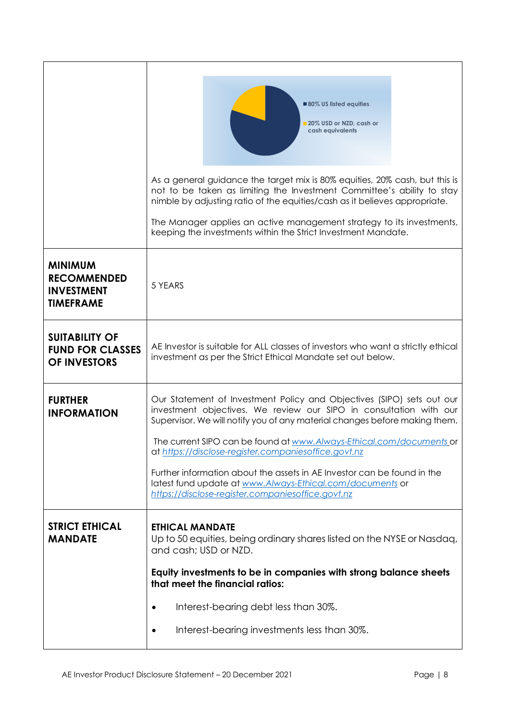|                                                                               | 80% US listed equities<br>20% USD or NZD, cash or<br>cash equivalents                                                                                                                                                                                                                                                                                                                                                                |
|-------------------------------------------------------------------------------|--------------------------------------------------------------------------------------------------------------------------------------------------------------------------------------------------------------------------------------------------------------------------------------------------------------------------------------------------------------------------------------------------------------------------------------|
|                                                                               | As a general guidance the target mix is 80% equities, 20% cash, but this is<br>not to be taken as limiting the Investment Committee's ability to stay<br>nimble by adjusting ratio of the equities/cash as it believes appropriate.                                                                                                                                                                                                  |
|                                                                               | The Manager applies an active management strategy to its investments,<br>keeping the investments within the Strict Investment Mandate.                                                                                                                                                                                                                                                                                               |
| <b>MINIMUM</b><br><b>RECOMMENDED</b><br><b>INVESTMENT</b><br><b>TIMEFRAME</b> | 5 YEARS                                                                                                                                                                                                                                                                                                                                                                                                                              |
| <b>SUITABILITY OF</b><br><b>FUND FOR CLASSES</b><br><b>OF INVESTORS</b>       | AE Investor is suitable for ALL classes of investors who want a strictly ethical<br>investment as per the Strict Ethical Mandate set out below.                                                                                                                                                                                                                                                                                      |
| <b>FURTHER</b><br><b>INFORMATION</b>                                          | Our Statement of Investment Policy and Objectives (SIPO) sets out our<br>investment objectives. We review our SIPO in consultation with our<br>Supervisor. We will notify you of any material changes before making them.<br>The current SIPO can be found at www.Always-Ethical.com/documents or<br>at https://disclose-register.companiesoffice.govt.nz<br>Further information about the assets in AE Investor can be found in the |
|                                                                               | latest fund update at www.Always-Ethical.com/documents or<br>https://disclose-register.companiesoffice.govt.nz                                                                                                                                                                                                                                                                                                                       |
| <b>STRICT ETHICAL</b><br><b>MANDATE</b>                                       | <b>ETHICAL MANDATE</b><br>Up to 50 equities, being ordinary shares listed on the NYSE or Nasdaq,<br>and cash; USD or NZD.                                                                                                                                                                                                                                                                                                            |
|                                                                               | Equity investments to be in companies with strong balance sheets<br>that meet the financial ratios:                                                                                                                                                                                                                                                                                                                                  |
|                                                                               | Interest-bearing debt less than 30%.                                                                                                                                                                                                                                                                                                                                                                                                 |
|                                                                               | Interest-bearing investments less than 30%.                                                                                                                                                                                                                                                                                                                                                                                          |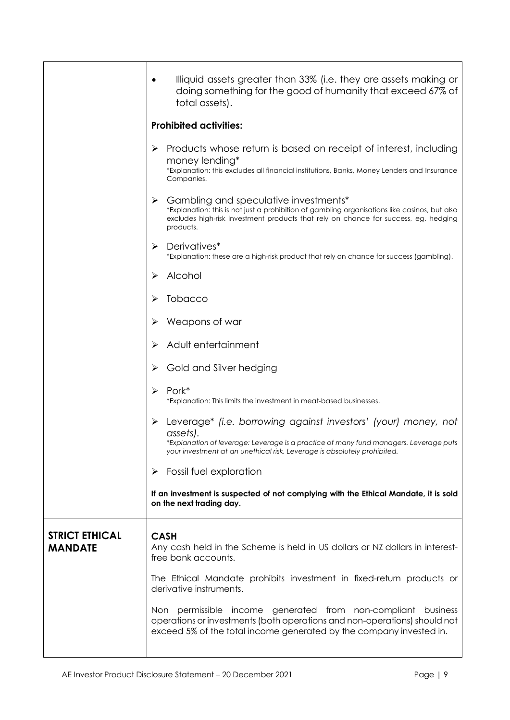|                                         | Illiquid assets greater than 33% (i.e. they are assets making or<br>doing something for the good of humanity that exceed 67% of<br>total assets).                                                                                               |
|-----------------------------------------|-------------------------------------------------------------------------------------------------------------------------------------------------------------------------------------------------------------------------------------------------|
|                                         | <b>Prohibited activities:</b>                                                                                                                                                                                                                   |
|                                         | Products whose return is based on receipt of interest, including<br>➤<br>money lending*<br>*Explanation: this excludes all financial institutions, Banks, Money Lenders and Insurance<br>Companies.                                             |
|                                         | Gambling and speculative investments*<br>*Explanation: this is not just a prohibition of gambling organisations like casinos, but also<br>excludes high-risk investment products that rely on chance for success, eg. hedging<br>products.      |
|                                         | Derivatives*<br>➤<br>*Explanation: these are a high-risk product that rely on chance for success (gambling).                                                                                                                                    |
|                                         | Alcohol                                                                                                                                                                                                                                         |
|                                         | Tobacco                                                                                                                                                                                                                                         |
|                                         | Weapons of war                                                                                                                                                                                                                                  |
|                                         | Adult entertainment                                                                                                                                                                                                                             |
|                                         | Gold and Silver hedging                                                                                                                                                                                                                         |
|                                         | Pork*<br>➤<br>*Explanation: This limits the investment in meat-based businesses.                                                                                                                                                                |
|                                         | Leverage* (i.e. borrowing against investors' (your) money, not<br>assets).<br>*Explanation of leverage: Leverage is a practice of many fund managers. Leverage puts<br>your investment at an unethical risk. Leverage is absolutely prohibited. |
|                                         | Fossil fuel exploration<br>➤                                                                                                                                                                                                                    |
|                                         | If an investment is suspected of not complying with the Ethical Mandate, it is sold<br>on the next trading day.                                                                                                                                 |
| <b>STRICT ETHICAL</b><br><b>MANDATE</b> | <b>CASH</b><br>Any cash held in the Scheme is held in US dollars or NZ dollars in interest-<br>free bank accounts.                                                                                                                              |
|                                         | The Ethical Mandate prohibits investment in fixed-return products or<br>derivative instruments.                                                                                                                                                 |
|                                         | Non permissible income generated from non-compliant business<br>operations or investments (both operations and non-operations) should not<br>exceed 5% of the total income generated by the company invested in.                                |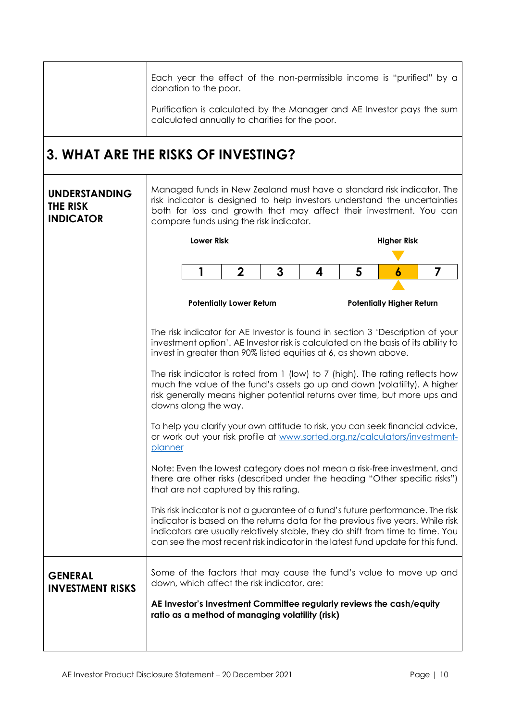|                                                      | Each year the effect of the non-permissible income is "purified" by a<br>donation to the poor.                                                                                                                                                                      |                                                                                                                          |                                 |   |   |   |                                                                                                                                                                                                                                                                                                                                        |
|------------------------------------------------------|---------------------------------------------------------------------------------------------------------------------------------------------------------------------------------------------------------------------------------------------------------------------|--------------------------------------------------------------------------------------------------------------------------|---------------------------------|---|---|---|----------------------------------------------------------------------------------------------------------------------------------------------------------------------------------------------------------------------------------------------------------------------------------------------------------------------------------------|
|                                                      |                                                                                                                                                                                                                                                                     | Purification is calculated by the Manager and AE Investor pays the sum<br>calculated annually to charities for the poor. |                                 |   |   |   |                                                                                                                                                                                                                                                                                                                                        |
| 3. WHAT ARE THE RISKS OF INVESTING?                  |                                                                                                                                                                                                                                                                     |                                                                                                                          |                                 |   |   |   |                                                                                                                                                                                                                                                                                                                                        |
| <b>UNDERSTANDING</b><br>THE RISK<br><b>INDICATOR</b> | Managed funds in New Zealand must have a standard risk indicator. The<br>risk indicator is designed to help investors understand the uncertainties<br>both for loss and growth that may affect their investment. You can<br>compare funds using the risk indicator. |                                                                                                                          |                                 |   |   |   |                                                                                                                                                                                                                                                                                                                                        |
|                                                      |                                                                                                                                                                                                                                                                     | <b>Lower Risk</b>                                                                                                        |                                 |   |   |   | <b>Higher Risk</b>                                                                                                                                                                                                                                                                                                                     |
|                                                      |                                                                                                                                                                                                                                                                     | 1                                                                                                                        | $\mathbf 2$                     | 3 | 4 | 5 | 6<br>7                                                                                                                                                                                                                                                                                                                                 |
|                                                      |                                                                                                                                                                                                                                                                     |                                                                                                                          | <b>Potentially Lower Return</b> |   |   |   | <b>Potentially Higher Return</b>                                                                                                                                                                                                                                                                                                       |
|                                                      |                                                                                                                                                                                                                                                                     |                                                                                                                          |                                 |   |   |   |                                                                                                                                                                                                                                                                                                                                        |
|                                                      | The risk indicator for AE Investor is found in section 3 'Description of your<br>investment option'. AE Investor risk is calculated on the basis of its ability to<br>invest in greater than 90% listed equities at 6, as shown above.                              |                                                                                                                          |                                 |   |   |   |                                                                                                                                                                                                                                                                                                                                        |
|                                                      | The risk indicator is rated from 1 (low) to 7 (high). The rating reflects how<br>much the value of the fund's assets go up and down (volatility). A higher<br>risk generally means higher potential returns over time, but more ups and<br>downs along the way.     |                                                                                                                          |                                 |   |   |   |                                                                                                                                                                                                                                                                                                                                        |
|                                                      | To help you clarify your own attitude to risk, you can seek financial advice,<br>or work out your risk profile at www.sorted.org.nz/calculators/investment-<br><u>planner</u>                                                                                       |                                                                                                                          |                                 |   |   |   |                                                                                                                                                                                                                                                                                                                                        |
|                                                      | Note: Even the lowest category does not mean a risk-free investment, and<br>there are other risks (described under the heading "Other specific risks")<br>that are not captured by this rating.                                                                     |                                                                                                                          |                                 |   |   |   |                                                                                                                                                                                                                                                                                                                                        |
|                                                      |                                                                                                                                                                                                                                                                     |                                                                                                                          |                                 |   |   |   | This risk indicator is not a guarantee of a fund's future performance. The risk<br>indicator is based on the returns data for the previous five years. While risk<br>indicators are usually relatively stable, they do shift from time to time. You<br>can see the most recent risk indicator in the latest fund update for this fund. |
| <b>GENERAL</b><br><b>INVESTMENT RISKS</b>            |                                                                                                                                                                                                                                                                     | down, which affect the risk indicator, are:                                                                              |                                 |   |   |   | Some of the factors that may cause the fund's value to move up and                                                                                                                                                                                                                                                                     |
|                                                      |                                                                                                                                                                                                                                                                     | ratio as a method of managing volatility (risk)                                                                          |                                 |   |   |   | AE Investor's Investment Committee regularly reviews the cash/equity                                                                                                                                                                                                                                                                   |
|                                                      |                                                                                                                                                                                                                                                                     |                                                                                                                          |                                 |   |   |   |                                                                                                                                                                                                                                                                                                                                        |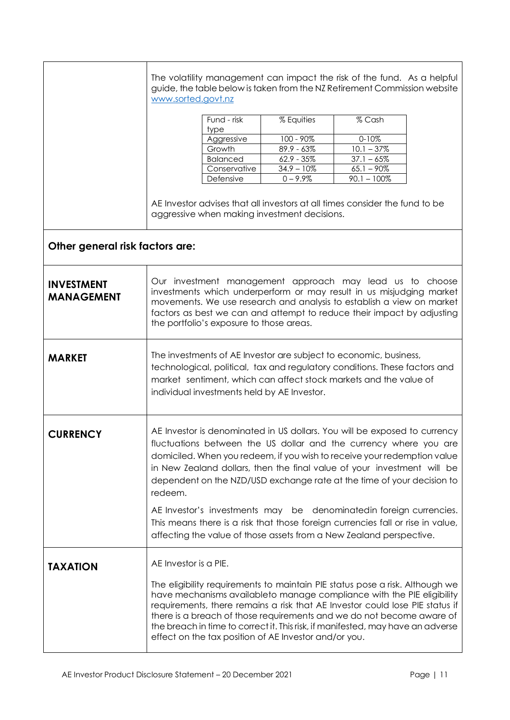|                                        | www.sorted.govt.nz    |                                             |                                                       | The volatility management can impact the risk of the fund. As a helpful<br>guide, the table below is taken from the NZ Retirement Commission website                                                                                                                                                                                                                                                                                                                                                                                     |  |
|----------------------------------------|-----------------------|---------------------------------------------|-------------------------------------------------------|------------------------------------------------------------------------------------------------------------------------------------------------------------------------------------------------------------------------------------------------------------------------------------------------------------------------------------------------------------------------------------------------------------------------------------------------------------------------------------------------------------------------------------------|--|
|                                        |                       | Fund - risk                                 | % Equities                                            | % Cash                                                                                                                                                                                                                                                                                                                                                                                                                                                                                                                                   |  |
|                                        |                       | type                                        |                                                       |                                                                                                                                                                                                                                                                                                                                                                                                                                                                                                                                          |  |
|                                        |                       | Aggressive                                  | 100 - 90%                                             | $0 - 10%$                                                                                                                                                                                                                                                                                                                                                                                                                                                                                                                                |  |
|                                        |                       | Growth<br><b>Balanced</b>                   | $89.9 - 63\%$<br>$62.9 - 35\%$                        | $10.1 - 37\%$<br>$37.1 - 65%$                                                                                                                                                                                                                                                                                                                                                                                                                                                                                                            |  |
|                                        |                       | Conservative                                | $34.9 - 10\%$                                         | $65.1 - 90\%$                                                                                                                                                                                                                                                                                                                                                                                                                                                                                                                            |  |
|                                        |                       | Defensive                                   | $0 - 9.9%$                                            | $90.1 - 100\%$                                                                                                                                                                                                                                                                                                                                                                                                                                                                                                                           |  |
|                                        |                       |                                             |                                                       | AE Investor advises that all investors at all times consider the fund to be                                                                                                                                                                                                                                                                                                                                                                                                                                                              |  |
|                                        |                       |                                             | aggressive when making investment decisions.          |                                                                                                                                                                                                                                                                                                                                                                                                                                                                                                                                          |  |
| Other general risk factors are:        |                       |                                             |                                                       |                                                                                                                                                                                                                                                                                                                                                                                                                                                                                                                                          |  |
|                                        |                       |                                             |                                                       |                                                                                                                                                                                                                                                                                                                                                                                                                                                                                                                                          |  |
| <b>INVESTMENT</b><br><b>MANAGEMENT</b> |                       | the portfolio's exposure to those areas.    |                                                       | Our investment management approach may lead us to choose<br>investments which underperform or may result in us misjudging market<br>movements. We use research and analysis to establish a view on market<br>factors as best we can and attempt to reduce their impact by adjusting                                                                                                                                                                                                                                                      |  |
| <b>MARKET</b>                          |                       | individual investments held by AE Investor. |                                                       | The investments of AE Investor are subject to economic, business,<br>technological, political, tax and regulatory conditions. These factors and<br>market sentiment, which can affect stock markets and the value of                                                                                                                                                                                                                                                                                                                     |  |
| <b>CURRENCY</b>                        | redeem.               |                                             |                                                       | AE Investor is denominated in US dollars. You will be exposed to currency<br>fluctuations between the US dollar and the currency where you are<br>domiciled. When you redeem, if you wish to receive your redemption value<br>in New Zealand dollars, then the final value of your investment will be<br>dependent on the NZD/USD exchange rate at the time of your decision to<br>AE Investor's investments may be denominatedin foreign currencies.<br>This means there is a risk that those foreign currencies fall or rise in value, |  |
|                                        |                       |                                             |                                                       | affecting the value of those assets from a New Zealand perspective.                                                                                                                                                                                                                                                                                                                                                                                                                                                                      |  |
| <b>TAXATION</b>                        | AE Investor is a PIE. |                                             |                                                       |                                                                                                                                                                                                                                                                                                                                                                                                                                                                                                                                          |  |
|                                        |                       |                                             | effect on the tax position of AE Investor and/or you. | The eligibility requirements to maintain PIE status pose a risk. Although we<br>have mechanisms availableto manage compliance with the PIE eligibility<br>requirements, there remains a risk that AE Investor could lose PIE status if<br>there is a breach of those requirements and we do not become aware of<br>the breach in time to correct it. This risk, if manifested, may have an adverse                                                                                                                                       |  |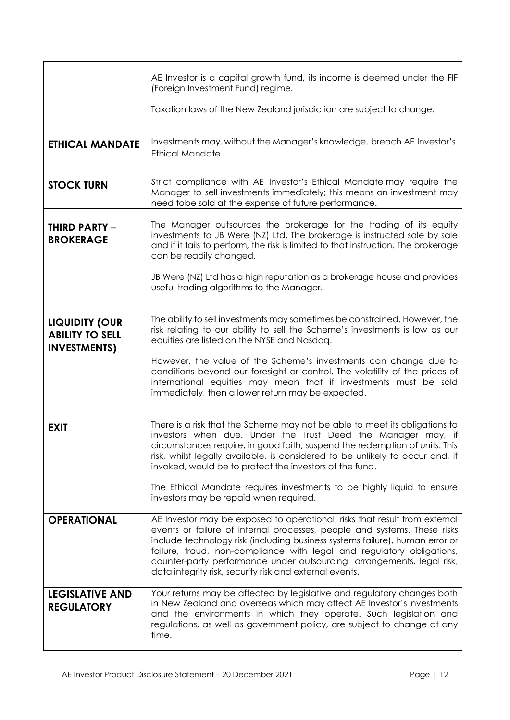|                                                                        | AE Investor is a capital growth fund, its income is deemed under the FIF<br>(Foreign Investment Fund) regime.                                                                                                                                                                                                                                                                                                                                      |
|------------------------------------------------------------------------|----------------------------------------------------------------------------------------------------------------------------------------------------------------------------------------------------------------------------------------------------------------------------------------------------------------------------------------------------------------------------------------------------------------------------------------------------|
|                                                                        | Taxation laws of the New Zealand jurisdiction are subject to change.                                                                                                                                                                                                                                                                                                                                                                               |
| <b>ETHICAL MANDATE</b>                                                 | Investments may, without the Manager's knowledge, breach AE Investor's<br>Ethical Mandate.                                                                                                                                                                                                                                                                                                                                                         |
| <b>STOCK TURN</b>                                                      | Strict compliance with AE Investor's Ethical Mandate may require the<br>Manager to sell investments immediately; this means an investment may<br>need tobe sold at the expense of future performance.                                                                                                                                                                                                                                              |
| <b>THIRD PARTY -</b><br><b>BROKERAGE</b>                               | The Manager outsources the brokerage for the trading of its equity<br>investments to JB Were (NZ) Ltd. The brokerage is instructed sale by sale<br>and if it fails to perform, the risk is limited to that instruction. The brokerage<br>can be readily changed.                                                                                                                                                                                   |
|                                                                        | JB Were (NZ) Ltd has a high reputation as a brokerage house and provides<br>useful trading algorithms to the Manager.                                                                                                                                                                                                                                                                                                                              |
| <b>LIQUIDITY (OUR</b><br><b>ABILITY TO SELL</b><br><b>INVESTMENTS)</b> | The ability to sell investments may sometimes be constrained. However, the<br>risk relating to our ability to sell the Scheme's investments is low as our<br>equities are listed on the NYSE and Nasdaq.                                                                                                                                                                                                                                           |
|                                                                        | However, the value of the Scheme's investments can change due to<br>conditions beyond our foresight or control. The volatility of the prices of<br>international equities may mean that if investments must be sold<br>immediately, then a lower return may be expected.                                                                                                                                                                           |
| <b>EXIT</b>                                                            | There is a risk that the Scheme may not be able to meet its obligations to<br>investors when due. Under the Trust Deed the Manager may, if<br>circumstances require, in good faith, suspend the redemption of units. This<br>risk, whilst legally available, is considered to be unlikely to occur and, if<br>invoked, would be to protect the investors of the fund.                                                                              |
|                                                                        | The Ethical Mandate requires investments to be highly liquid to ensure<br>investors may be repaid when required.                                                                                                                                                                                                                                                                                                                                   |
| <b>OPERATIONAL</b>                                                     | AE Investor may be exposed to operational risks that result from external<br>events or failure of internal processes, people and systems. These risks<br>include technology risk (including business systems failure), human error or<br>failure, fraud, non-compliance with legal and regulatory obligations,<br>counter-party performance under outsourcing arrangements, legal risk,<br>data integrity risk, security risk and external events. |
| <b>LEGISLATIVE AND</b><br><b>REGULATORY</b>                            | Your returns may be affected by legislative and regulatory changes both<br>in New Zealand and overseas which may affect AE Investor's investments<br>and the environments in which they operate. Such legislation and<br>regulations, as well as government policy, are subject to change at any<br>time.                                                                                                                                          |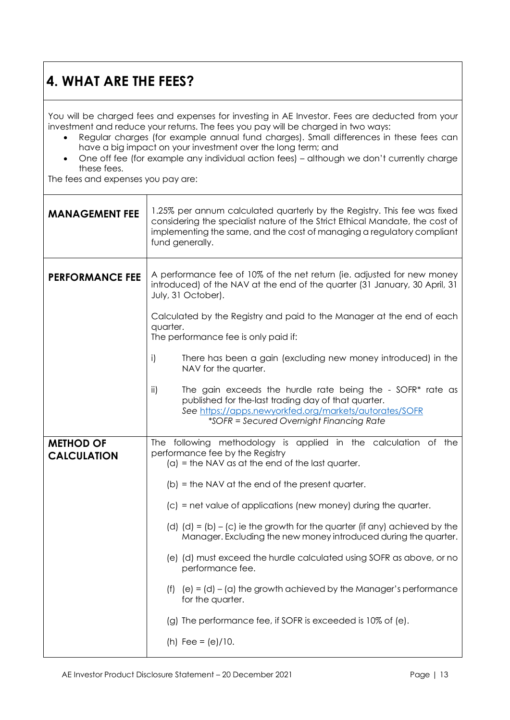#### **4. WHAT ARE THE FEES?**

You will be charged fees and expenses for investing in AE Investor. Fees are deducted from your investment and reduce your returns. The fees you pay will be charged in two ways:

- Regular charges (for example annual fund charges). Small differences in these fees can have a big impact on your investment over the long term; and
- One off fee (for example any individual action fees) although we don't currently charge these fees.

The fees and expenses you pay are:

| <b>MANAGEMENT FEE</b>  | 1.25% per annum calculated quarterly by the Registry. This fee was fixed<br>considering the specialist nature of the Strict Ethical Mandate, the cost of<br>implementing the same, and the cost of managing a regulatory compliant<br>fund generally. |  |  |
|------------------------|-------------------------------------------------------------------------------------------------------------------------------------------------------------------------------------------------------------------------------------------------------|--|--|
| <b>PERFORMANCE FEE</b> | A performance fee of 10% of the net return (ie. adjusted for new money<br>introduced) of the NAV at the end of the quarter (31 January, 30 April, 31<br>July, 31 October).                                                                            |  |  |
|                        | Calculated by the Registry and paid to the Manager at the end of each<br>quarter.<br>The performance fee is only paid if:                                                                                                                             |  |  |
|                        | i)<br>There has been a gain (excluding new money introduced) in the<br>NAV for the quarter.                                                                                                                                                           |  |  |
|                        | The gain exceeds the hurdle rate being the - SOFR* rate as<br>ii)<br>published for the-last trading day of that quarter.<br>See https://apps.newyorkfed.org/markets/autorates/SOFR<br>*SOFR = Secured Overnight Financing Rate                        |  |  |
| <b>METHOD OF</b>       | The following methodology is applied in the calculation of the<br>performance fee by the Registry                                                                                                                                                     |  |  |
| <b>CALCULATION</b>     | $(a)$ = the NAV as at the end of the last quarter.                                                                                                                                                                                                    |  |  |
|                        | $(b)$ = the NAV at the end of the present quarter.                                                                                                                                                                                                    |  |  |
|                        | $(c)$ = net value of applications (new money) during the quarter.                                                                                                                                                                                     |  |  |
|                        | (d) $(d) = (b) - (c)$ ie the growth for the quarter (if any) achieved by the<br>Manager. Excluding the new money introduced during the quarter.                                                                                                       |  |  |
|                        | (e) (d) must exceed the hurdle calculated using SOFR as above, or no<br>performance fee.                                                                                                                                                              |  |  |
|                        | $(e) = (d) - (a)$ the growth achieved by the Manager's performance<br>(f)<br>for the quarter.                                                                                                                                                         |  |  |
|                        | (g) The performance fee, if SOFR is exceeded is 10% of (e).                                                                                                                                                                                           |  |  |
|                        | (h) Fee = $(e)/10$ .                                                                                                                                                                                                                                  |  |  |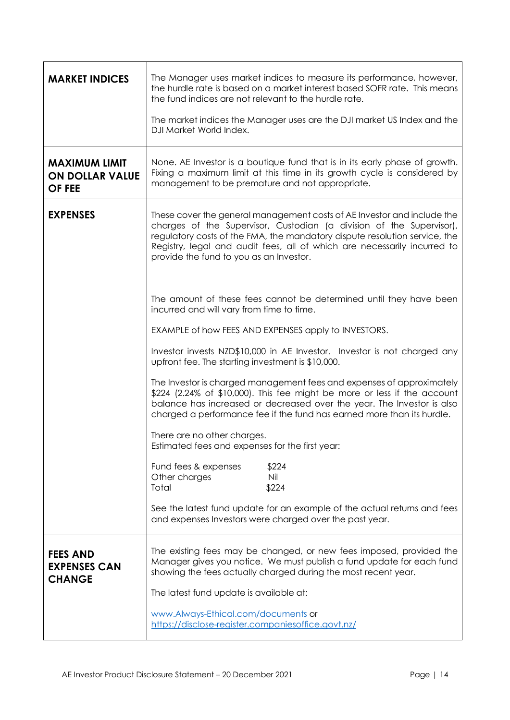| <b>MARKET INDICES</b>                                           | The Manager uses market indices to measure its performance, however,<br>the hurdle rate is based on a market interest based SOFR rate. This means<br>the fund indices are not relevant to the hurdle rate.<br>The market indices the Manager uses are the DJI market US Index and the<br>DJI Market World Index.                                     |
|-----------------------------------------------------------------|------------------------------------------------------------------------------------------------------------------------------------------------------------------------------------------------------------------------------------------------------------------------------------------------------------------------------------------------------|
| <b>MAXIMUM LIMIT</b><br><b>ON DOLLAR VALUE</b><br><b>OF FEE</b> | None. AE Investor is a boutique fund that is in its early phase of growth.<br>Fixing a maximum limit at this time in its growth cycle is considered by<br>management to be premature and not appropriate.                                                                                                                                            |
| <b>EXPENSES</b>                                                 | These cover the general management costs of AE Investor and include the<br>charges of the Supervisor, Custodian (a division of the Supervisor),<br>regulatory costs of the FMA, the mandatory dispute resolution service, the<br>Registry, legal and audit fees, all of which are necessarily incurred to<br>provide the fund to you as an Investor. |
|                                                                 | The amount of these fees cannot be determined until they have been<br>incurred and will vary from time to time.                                                                                                                                                                                                                                      |
|                                                                 | EXAMPLE of how FEES AND EXPENSES apply to INVESTORS.                                                                                                                                                                                                                                                                                                 |
|                                                                 | Investor invests NZD\$10,000 in AE Investor. Investor is not charged any<br>upfront fee. The starting investment is \$10,000.                                                                                                                                                                                                                        |
|                                                                 | The Investor is charged management fees and expenses of approximately<br>\$224 (2.24% of \$10,000). This fee might be more or less if the account<br>balance has increased or decreased over the year. The Investor is also<br>charged a performance fee if the fund has earned more than its hurdle.                                                |
|                                                                 | There are no other charges.<br>Estimated fees and expenses for the first year:                                                                                                                                                                                                                                                                       |
|                                                                 | Fund fees & expenses<br>\$224<br>Other charges<br>Nil<br>\$224<br>Total                                                                                                                                                                                                                                                                              |
|                                                                 | See the latest fund update for an example of the actual returns and fees<br>and expenses Investors were charged over the past year.                                                                                                                                                                                                                  |
| <b>FEES AND</b><br><b>EXPENSES CAN</b><br><b>CHANGE</b>         | The existing fees may be changed, or new fees imposed, provided the<br>Manager gives you notice. We must publish a fund update for each fund<br>showing the fees actually charged during the most recent year.                                                                                                                                       |
|                                                                 | The latest fund update is available at:                                                                                                                                                                                                                                                                                                              |
|                                                                 | www.Always-Ethical.com/documents or<br>https://disclose-register.companiesoffice.govt.nz/                                                                                                                                                                                                                                                            |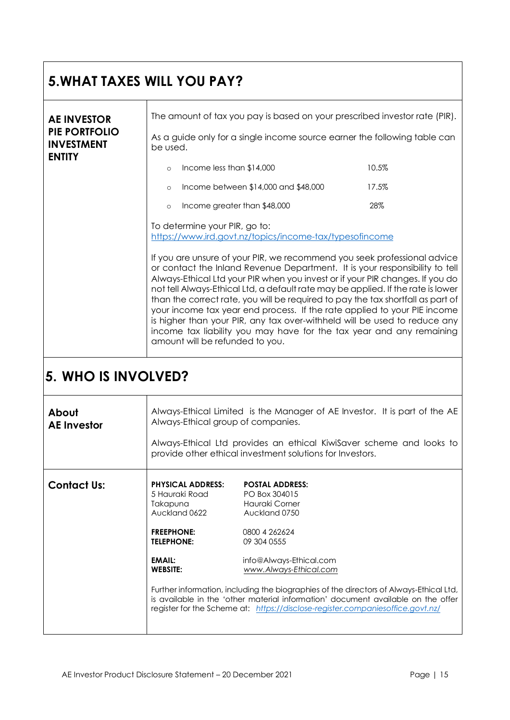#### **5.WHAT TAXES WILL YOU PAY? AE INVESTOR PIE PORTFOLIO INVESTMENT ENTITY** The amount of tax you pay is based on your prescribed investor rate (PIR). As a guide only for a single income source earner the following table can be used.  $\circ$  Income less than  $$14,000$  10.5% o Income between \$14,000 and \$48,000 17.5% o Income greater than \$48,000 28% To determine your PIR, go to: <https://www.ird.govt.nz/topics/income-tax/typesofincome> If you are unsure of your PIR, we recommend you seek professional advice or contact the Inland Revenue Department. It is your responsibility to tell Always-Ethical Ltd your PIR when you invest or if your PIR changes. If you do not tell Always-Ethical Ltd, a default rate may be applied. If the rate is lower than the correct rate, you will be required to pay the tax shortfall as part of your income tax year end process. If the rate applied to your PIE income is higher than your PIR, any tax over-withheld will be used to reduce any income tax liability you may have for the tax year and any remaining amount will be refunded to you.

#### **5. WHO IS INVOLVED?**

| About<br><b>AE</b> Investor | Always-Ethical group of companies.                                                                                                             | Always-Ethical Limited is the Manager of AE Investor. It is part of the AE<br>Always-Ethical Ltd provides an ethical Kiwisaver scheme and looks to<br>provide other ethical investment solutions for Investors.                                                                                                                                                                                                                 |
|-----------------------------|------------------------------------------------------------------------------------------------------------------------------------------------|---------------------------------------------------------------------------------------------------------------------------------------------------------------------------------------------------------------------------------------------------------------------------------------------------------------------------------------------------------------------------------------------------------------------------------|
| <b>Contact Us:</b>          | <b>PHYSICAL ADDRESS:</b><br>5 Hauraki Road<br>Takapuna<br>Auckland 0622<br><b>FREEPHONE:</b><br><b>TELEPHONE:</b><br>EMAIL:<br><b>WEBSITE:</b> | <b>POSTAL ADDRESS:</b><br>PO Box 304015<br>Hauraki Corner<br>Auckland 0750<br>0800 4 262624<br>09 304 0555<br>info@Always-Ethical.com<br>www.Always-Ethical.com<br>Further information, including the biographies of the directors of Always-Ethical Ltd,<br>is available in the 'other material information' document available on the offer<br>register for the Scheme at: https://disclose-register.companiesoffice.govt.nz/ |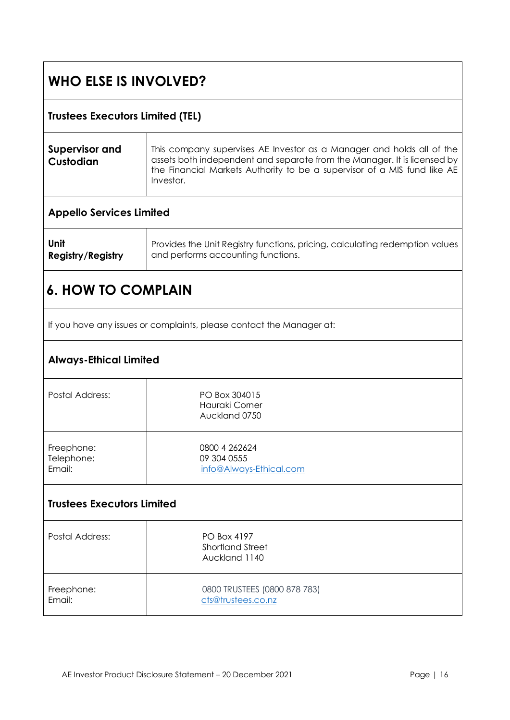## **WHO ELSE IS INVOLVED?**

| <b>Trustees Executors Limited (TEL)</b>                              |                                                                                                                                                                                                                                            |  |
|----------------------------------------------------------------------|--------------------------------------------------------------------------------------------------------------------------------------------------------------------------------------------------------------------------------------------|--|
| <b>Supervisor and</b><br>Custodian                                   | This company supervises AE Investor as a Manager and holds all of the<br>assets both independent and separate from the Manager. It is licensed by<br>the Financial Markets Authority to be a supervisor of a MIS fund like AE<br>Investor. |  |
| <b>Appello Services Limited</b>                                      |                                                                                                                                                                                                                                            |  |
| Unit<br><b>Registry/Registry</b>                                     | Provides the Unit Registry functions, pricing, calculating redemption values<br>and performs accounting functions.                                                                                                                         |  |
| <b>6. HOW TO COMPLAIN</b>                                            |                                                                                                                                                                                                                                            |  |
| If you have any issues or complaints, please contact the Manager at: |                                                                                                                                                                                                                                            |  |
| <b>Always-Ethical Limited</b>                                        |                                                                                                                                                                                                                                            |  |
| <b>Postal Address:</b>                                               | PO Box 304015<br>Hauraki Corner<br>Auckland 0750                                                                                                                                                                                           |  |
| Freephone:<br>Telephone:<br>Email:                                   | 0800 4 262624<br>09 304 0555<br>info@Always-Ethical.com                                                                                                                                                                                    |  |
| <b>Trustees Executors Limited</b>                                    |                                                                                                                                                                                                                                            |  |
| Postal Address:                                                      | PO Box 4197<br><b>Shortland Street</b><br>Auckland 1140                                                                                                                                                                                    |  |
| Freephone:<br>Email:                                                 | 0800 TRUSTEES (0800 878 783)<br>cts@trustees.co.nz                                                                                                                                                                                         |  |